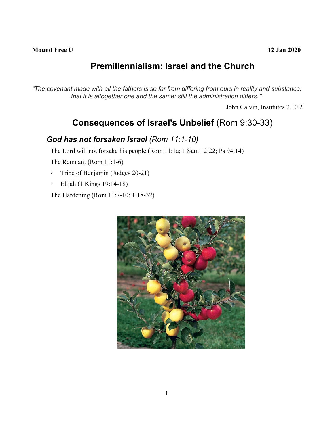# **Premillennialism: Israel and the Church**

"The covenant made with all the fathers is so far from differing from ours in reality and substance, *that it is altogether one and the same: still the administration differs."*

John Calvin, Institutes 2.10.2

## **Consequences of Israel's Unbelief** (Rom 9:30-33)

#### *God has not forsaken Israel (Rom 11:1-10)*

The Lord will not forsake his people (Rom 11:1a; 1 Sam 12:22; Ps 94:14)

The Remnant (Rom 11:1-6)

- Tribe of Benjamin (Judges 20-21)
- Elijah (1 Kings 19:14-18)

The Hardening (Rom 11:7-10; 1:18-32)